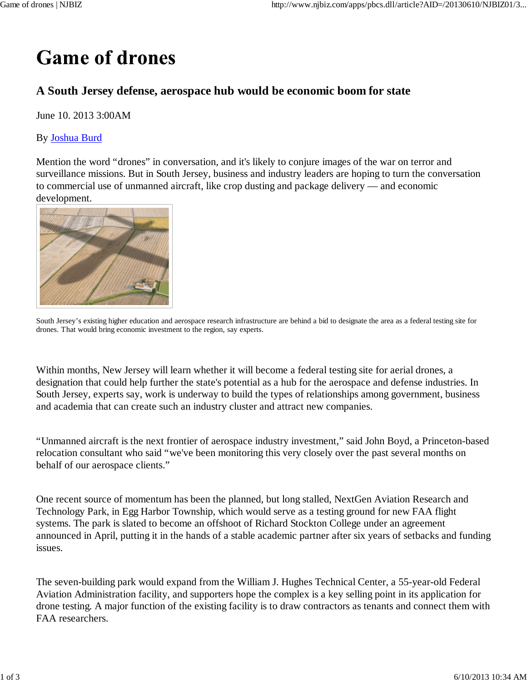## **Game of drones**

## **A South Jersey defense, aerospace hub would be economic boom for state**

June 10. 2013 3:00AM

## By Joshua Burd

Mention the word "drones" in conversation, and it's likely to conjure images of the war on terror and surveillance missions. But in South Jersey, business and industry leaders are hoping to turn the conversation to commercial use of unmanned aircraft, like crop dusting and package delivery — and economic development.



South Jersey's existing higher education and aerospace research infrastructure are behind a bid to designate the area as a federal testing site for drones. That would bring economic investment to the region, say experts.

Within months, New Jersey will learn whether it will become a federal testing site for aerial drones, a designation that could help further the state's potential as a hub for the aerospace and defense industries. In South Jersey, experts say, work is underway to build the types of relationships among government, business and academia that can create such an industry cluster and attract new companies.

"Unmanned aircraft is the next frontier of aerospace industry investment," said John Boyd, a Princeton-based relocation consultant who said "we've been monitoring this very closely over the past several months on behalf of our aerospace clients."

One recent source of momentum has been the planned, but long stalled, NextGen Aviation Research and Technology Park, in Egg Harbor Township, which would serve as a testing ground for new FAA flight systems. The park is slated to become an offshoot of Richard Stockton College under an agreement announced in April, putting it in the hands of a stable academic partner after six years of setbacks and funding issues.

The seven-building park would expand from the William J. Hughes Technical Center, a 55-year-old Federal Aviation Administration facility, and supporters hope the complex is a key selling point in its application for drone testing. A major function of the existing facility is to draw contractors as tenants and connect them with FAA researchers.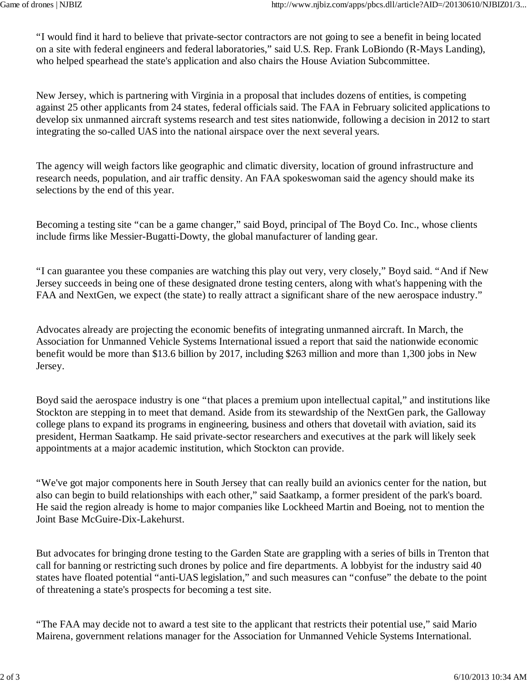"I would find it hard to believe that private-sector contractors are not going to see a benefit in being located on a site with federal engineers and federal laboratories," said U.S. Rep. Frank LoBiondo (R-Mays Landing), who helped spearhead the state's application and also chairs the House Aviation Subcommittee.

New Jersey, which is partnering with Virginia in a proposal that includes dozens of entities, is competing against 25 other applicants from 24 states, federal officials said. The FAA in February solicited applications to develop six unmanned aircraft systems research and test sites nationwide, following a decision in 2012 to start integrating the so-called UAS into the national airspace over the next several years.

The agency will weigh factors like geographic and climatic diversity, location of ground infrastructure and research needs, population, and air traffic density. An FAA spokeswoman said the agency should make its selections by the end of this year.

Becoming a testing site "can be a game changer," said Boyd, principal of The Boyd Co. Inc., whose clients include firms like Messier-Bugatti-Dowty, the global manufacturer of landing gear.

"I can guarantee you these companies are watching this play out very, very closely," Boyd said. "And if New Jersey succeeds in being one of these designated drone testing centers, along with what's happening with the FAA and NextGen, we expect (the state) to really attract a significant share of the new aerospace industry."

Advocates already are projecting the economic benefits of integrating unmanned aircraft. In March, the Association for Unmanned Vehicle Systems International issued a report that said the nationwide economic benefit would be more than \$13.6 billion by 2017, including \$263 million and more than 1,300 jobs in New Jersey.

Boyd said the aerospace industry is one "that places a premium upon intellectual capital," and institutions like Stockton are stepping in to meet that demand. Aside from its stewardship of the NextGen park, the Galloway college plans to expand its programs in engineering, business and others that dovetail with aviation, said its president, Herman Saatkamp. He said private-sector researchers and executives at the park will likely seek appointments at a major academic institution, which Stockton can provide.

"We've got major components here in South Jersey that can really build an avionics center for the nation, but also can begin to build relationships with each other," said Saatkamp, a former president of the park's board. He said the region already is home to major companies like Lockheed Martin and Boeing, not to mention the Joint Base McGuire-Dix-Lakehurst.

But advocates for bringing drone testing to the Garden State are grappling with a series of bills in Trenton that call for banning or restricting such drones by police and fire departments. A lobbyist for the industry said 40 states have floated potential "anti-UAS legislation," and such measures can "confuse" the debate to the point of threatening a state's prospects for becoming a test site.

"The FAA may decide not to award a test site to the applicant that restricts their potential use," said Mario Mairena, government relations manager for the Association for Unmanned Vehicle Systems International.